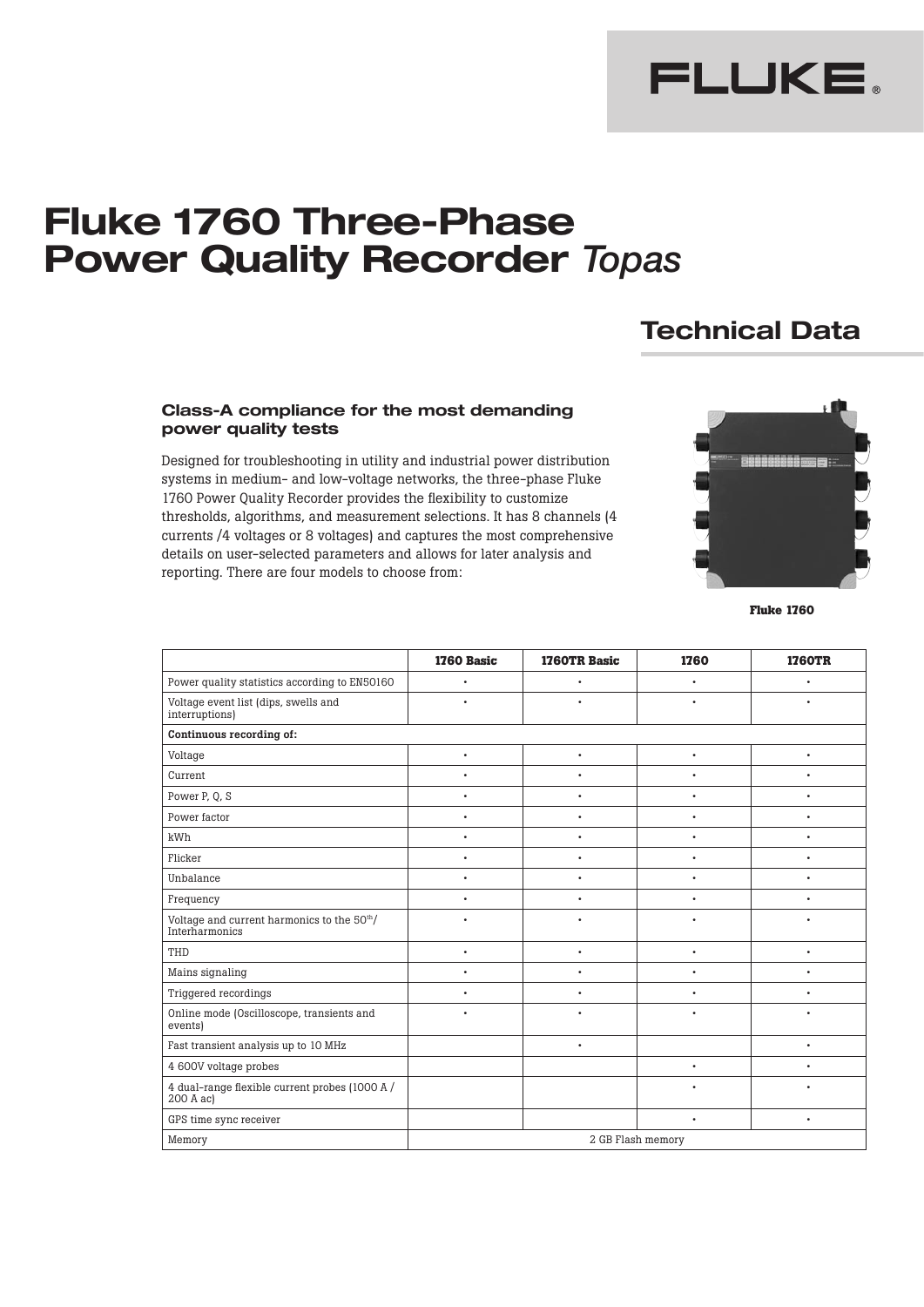

# **Fluke 1760 Three-Phase Power Quality Recorder** *Topas*

# **Technical Data**

# **Class-A compliance for the most demanding power quality tests**

Designed for troubleshooting in utility and industrial power distribution systems in medium- and low-voltage networks, the three-phase Fluke 1760 Power Quality Recorder provides the flexibility to customize thresholds, algorithms, and measurement selections. It has 8 channels (4 currents /4 voltages or 8 voltages) and captures the most comprehensive details on user-selected parameters and allows for later analysis and reporting. There are four models to choose from:



**Fluke 1760**

|                                                              | 1760 Basic | 1760TR Basic | 1760              | <b>1760TR</b> |
|--------------------------------------------------------------|------------|--------------|-------------------|---------------|
| Power quality statistics according to EN50160                | ٠          | $\bullet$    | $\bullet$         |               |
| Voltage event list (dips, swells and<br>interruptions)       | ٠          | $\bullet$    | ٠                 |               |
| Continuous recording of:                                     |            |              |                   |               |
| Voltage                                                      | $\bullet$  | $\bullet$    | $\bullet$         | $\bullet$     |
| Current                                                      | $\bullet$  | ٠            | ٠                 |               |
| Power P, Q, S                                                | $\bullet$  | $\bullet$    | ٠                 | ٠             |
| Power factor                                                 | $\bullet$  | $\bullet$    | $\bullet$         | ٠             |
| kWh                                                          | ٠          | $\bullet$    | $\bullet$         | ٠             |
| Flicker                                                      | ٠          | ٠            | ٠                 |               |
| Unbalance                                                    | ٠          | ۰            | ٠                 |               |
| Frequency                                                    |            | $\bullet$    | ٠                 |               |
| Voltage and current harmonics to the 50th/<br>Interharmonics |            | ٠            |                   |               |
| THD                                                          | ٠          | $\bullet$    | $\bullet$         | ٠             |
| Mains signaling                                              | ٠          | $\bullet$    | $\bullet$         | ٠             |
| <b>Triggered recordings</b>                                  | ٠          | ٠            | ٠                 |               |
| Online mode (Oscilloscope, transients and<br>events)         | ٠          | ٠            | ٠                 |               |
| Fast transient analysis up to 10 MHz                         |            | $\bullet$    |                   | ٠             |
| 4 600V voltage probes                                        |            |              | ٠                 | ٠             |
| 4 dual-range flexible current probes (1000 A /<br>200 A ac)  |            |              | ٠                 |               |
| GPS time sync receiver                                       |            |              | ٠                 | ٠             |
| Memory                                                       |            |              | 2 GB Flash memory |               |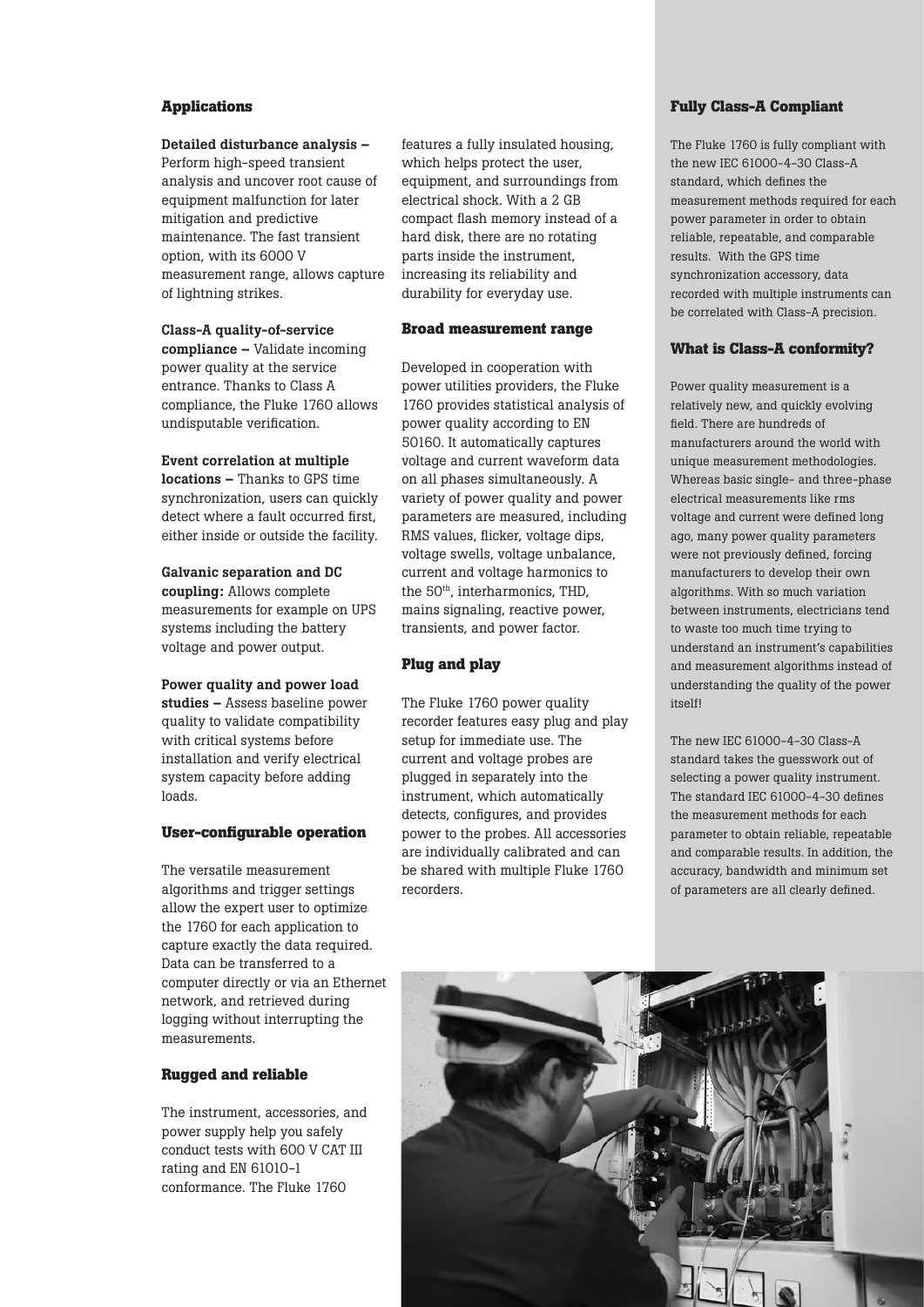### **Applications**

# Detailed disturbance analysis –

Perform high-speed transient analysis and uncover root cause of equipment malfunction for later mitigation and predictive maintenance. The fast transient option, with its 6000 V measurement range, allows capture of lightning strikes.

#### Class-A quality-of-service

compliance – Validate incoming power quality at the service entrance. Thanks to Class A compliance, the Fluke 1760 allows undisputable verification.

#### Event correlation at multiple

locations – Thanks to GPS time synchronization, users can quickly detect where a fault occurred first, either inside or outside the facility.

#### Galvanic separation and DC

coupling: Allows complete measurements for example on UPS systems including the battery voltage and power output.

#### Power quality and power load

studies – Assess baseline power quality to validate compatibility with critical systems before installation and verify electrical system capacity before adding loads.

#### **User-configurable operation**

The versatile measurement algorithms and trigger settings allow the expert user to optimize the 1760 for each application to capture exactly the data required. Data can be transferred to a computer directly or via an Ethernet network, and retrieved during logging without interrupting the measurements.

# **Rugged and reliable**

The instrument, accessories, and power supply help you safely conduct tests with 600 V CAT III rating and EN 61010-1 conformance. The Fluke 1760

features a fully insulated housing, which helps protect the user, equipment, and surroundings from electrical shock. With a 2 GB compact flash memory instead of a hard disk, there are no rotating parts inside the instrument, increasing its reliability and durability for everyday use.

#### **Broad measurement range**

Developed in cooperation with power utilities providers, the Fluke 1760 provides statistical analysis of power quality according to EN 50160. It automatically captures voltage and current waveform data on all phases simultaneously. A variety of power quality and power parameters are measured, including RMS values, flicker, voltage dips, voltage swells, voltage unbalance, current and voltage harmonics to the 50<sup>th</sup>, interharmonics, THD, mains signaling, reactive power, transients, and power factor.

#### **Plug and play**

The Fluke 1760 power quality recorder features easy plug and play setup for immediate use. The current and voltage probes are plugged in separately into the instrument, which automatically detects, configures, and provides power to the probes. All accessories are individually calibrated and can be shared with multiple Fluke 1760 recorders.

#### **Fully Class-A Compliant**

The Fluke 1760 is fully compliant with the new IEC 61000-4-30 Class-A standard, which defines the measurement methods required for each power parameter in order to obtain reliable, repeatable, and comparable results. With the GPS time synchronization accessory, data recorded with multiple instruments can be correlated with Class-A precision.

# **What is Class-A conformity?**

Power quality measurement is a relatively new, and quickly evolving field. There are hundreds of manufacturers around the world with unique measurement methodologies. Whereas basic single- and three-phase electrical measurements like rms voltage and current were defined long ago, many power quality parameters were not previously defined, forcing manufacturers to develop their own algorithms. With so much variation between instruments, electricians tend to waste too much time trying to understand an instrument's capabilities and measurement algorithms instead of understanding the quality of the power itself!

The new IEC 61000-4-30 Class-A standard takes the guesswork out of selecting a power quality instrument. The standard IEC 61000-4-30 defines the measurement methods for each parameter to obtain reliable, repeatable and comparable results. In addition, the accuracy, bandwidth and minimum set of parameters are all clearly defined.

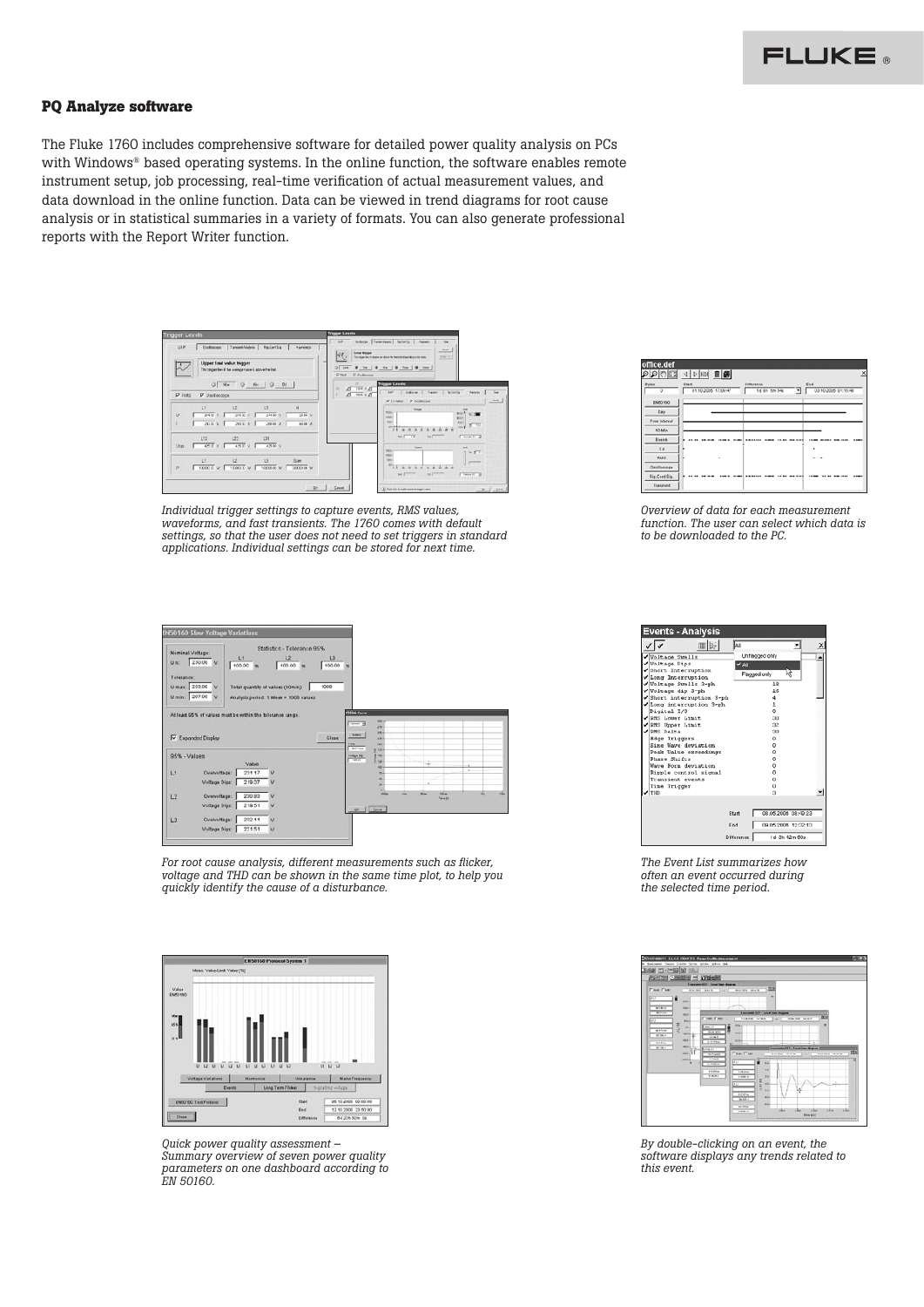#### **PQ Analyze software**

The Fluke 1760 includes comprehensive software for detailed power quality analysis on PCs with Windows® based operating systems. In the online function, the software enables remote instrument setup, job processing, real-time verification of actual measurement values, and data download in the online function. Data can be viewed in trend diagrams for root cause analysis or in statistical summaries in a variety of formats. You can also generate professional reports with the Report Writer function.



*Individual trigger settings to capture events, RMS values, waveforms, and fast transients. The 1760 comes with default settings, so that the user does not need to set triggers in standard applications. Individual settings can be stored for next time.*

|              | U min. 207.00 V                                                                          | Analysis period: 1 Week = 1000 values |       |                                                                                                        |     |                    |                |    |
|--------------|------------------------------------------------------------------------------------------|---------------------------------------|-------|--------------------------------------------------------------------------------------------------------|-----|--------------------|----------------|----|
|              | At least 95% of values must be within the tolerance range.<br><b>IV</b> Expanded Display |                                       | Close | <b>COTAL CATH</b><br><b>NE</b><br>$m = 1$<br>256<br>w.<br><b>Eddy</b> 1<br>$100 -$<br>m.<br><b>The</b> |     |                    |                |    |
| 95% - Values | Value                                                                                    |                                       |       | Witter<br>IF INC.<br>F is<br>11044134<br>₹.                                                            | 'n. | ÷                  |                |    |
| 11           | Overvoltage:<br>231.17                                                                   | v                                     |       | ide.<br>m.                                                                                             |     |                    | $\overline{a}$ |    |
|              | <b>Voltage Dips:</b><br>219.07                                                           | v                                     |       | ۰<br>×                                                                                                 |     |                    |                |    |
|              |                                                                                          |                                       |       | ×                                                                                                      | m   | win<br><b>STAN</b> |                | w. |
| L2           | 230.83<br>Overvoltage:                                                                   | $\vee$                                |       |                                                                                                        |     | New M.             |                |    |

*For root cause analysis, different measurements such as flicker, voltage and THD can be shown in the same time plot, to help you quickly identify the cause of a disturbance.*



*Quick power quality assessment – Summary overview of seven power quality parameters on one dashboard according to EN 50160.*

| $\rho \rho $ $\eta$            |       |  |                     |            |              |  |                          |     |                     | $\times$ |
|--------------------------------|-------|--|---------------------|------------|--------------|--|--------------------------|-----|---------------------|----------|
| <b>Bytes</b><br>$\overline{0}$ | Staff |  | 01.10.2005 17:09:47 | Cittarence | 14 0h 5m 54s |  | $\overline{\phantom{a}}$ | End | 03.10.2005 01:15:40 |          |
| EN50160                        |       |  |                     |            |              |  |                          |     |                     |          |
| Day.                           |       |  |                     |            |              |  |                          |     |                     |          |
| Free Interval                  |       |  |                     |            |              |  |                          |     |                     |          |
| 10 Min                         |       |  |                     |            |              |  |                          |     |                     |          |
| <b>Events</b>                  |       |  |                     |            |              |  |                          |     | $\cdots$            |          |
| 5 <sub>1</sub>                 |       |  |                     |            |              |  |                          | ٠   |                     |          |
| <b>RMS</b>                     |       |  | ٠                   |            |              |  |                          | ٠   |                     |          |
| Oscilloscope                   |       |  |                     |            |              |  |                          |     |                     |          |
| Rip.Cont.Sig.                  |       |  |                     |            |              |  |                          |     |                     |          |
| Transient                      |       |  |                     |            |              |  |                          |     |                     |          |

*Overview of data for each measurement function. The user can select which data is to be downloaded to the PC.*

| 而医<br>All<br>Unflagged only<br>Voltage Swells<br>Voltage Dips<br>$\overline{a}$<br>Short Interruption<br>hè<br>Flaceged only<br>Vilong Interruption<br>√Voltage Swells 3-ph<br>1R<br>√Voltage dip 3-ph<br>16<br>Short interruption 3-ph<br>$\Delta$<br>v<br>Long interruption 3-ph<br>$\overline{1}$<br>Digital I/O<br>Λ<br>RMS Lower Linit<br>$200 - 100$<br>02<br>2MS Upper Limit<br>2MS Delta<br>$00 -$<br><b>Edge Triggers</b><br>۰<br>Sine Wave deviation<br>٥<br>o<br>Peak Value exceedings<br>Phase Shifts<br>n<br>Waye Form deviation<br>Ō<br>n<br>Ripple control signal<br>ō<br>Transient events<br>Time Trigger<br>o<br>TIM<br>ŭ<br>08.05.2006 08:49:23<br>Start<br>End<br>09.05.2006 12:32:13<br>1d 3h 42m 50s<br>Difference | Events - Analysis |   |
|-----------------------------------------------------------------------------------------------------------------------------------------------------------------------------------------------------------------------------------------------------------------------------------------------------------------------------------------------------------------------------------------------------------------------------------------------------------------------------------------------------------------------------------------------------------------------------------------------------------------------------------------------------------------------------------------------------------------------------------------|-------------------|---|
|                                                                                                                                                                                                                                                                                                                                                                                                                                                                                                                                                                                                                                                                                                                                         |                   | × |
|                                                                                                                                                                                                                                                                                                                                                                                                                                                                                                                                                                                                                                                                                                                                         |                   |   |
|                                                                                                                                                                                                                                                                                                                                                                                                                                                                                                                                                                                                                                                                                                                                         |                   |   |
|                                                                                                                                                                                                                                                                                                                                                                                                                                                                                                                                                                                                                                                                                                                                         |                   |   |
|                                                                                                                                                                                                                                                                                                                                                                                                                                                                                                                                                                                                                                                                                                                                         |                   |   |
|                                                                                                                                                                                                                                                                                                                                                                                                                                                                                                                                                                                                                                                                                                                                         |                   |   |
|                                                                                                                                                                                                                                                                                                                                                                                                                                                                                                                                                                                                                                                                                                                                         |                   |   |
|                                                                                                                                                                                                                                                                                                                                                                                                                                                                                                                                                                                                                                                                                                                                         |                   |   |
|                                                                                                                                                                                                                                                                                                                                                                                                                                                                                                                                                                                                                                                                                                                                         |                   |   |
|                                                                                                                                                                                                                                                                                                                                                                                                                                                                                                                                                                                                                                                                                                                                         |                   |   |
|                                                                                                                                                                                                                                                                                                                                                                                                                                                                                                                                                                                                                                                                                                                                         |                   |   |
|                                                                                                                                                                                                                                                                                                                                                                                                                                                                                                                                                                                                                                                                                                                                         |                   |   |
|                                                                                                                                                                                                                                                                                                                                                                                                                                                                                                                                                                                                                                                                                                                                         |                   |   |
|                                                                                                                                                                                                                                                                                                                                                                                                                                                                                                                                                                                                                                                                                                                                         |                   |   |
|                                                                                                                                                                                                                                                                                                                                                                                                                                                                                                                                                                                                                                                                                                                                         |                   |   |
|                                                                                                                                                                                                                                                                                                                                                                                                                                                                                                                                                                                                                                                                                                                                         |                   |   |
|                                                                                                                                                                                                                                                                                                                                                                                                                                                                                                                                                                                                                                                                                                                                         |                   |   |
|                                                                                                                                                                                                                                                                                                                                                                                                                                                                                                                                                                                                                                                                                                                                         |                   |   |
|                                                                                                                                                                                                                                                                                                                                                                                                                                                                                                                                                                                                                                                                                                                                         |                   |   |
|                                                                                                                                                                                                                                                                                                                                                                                                                                                                                                                                                                                                                                                                                                                                         |                   |   |
|                                                                                                                                                                                                                                                                                                                                                                                                                                                                                                                                                                                                                                                                                                                                         |                   |   |
|                                                                                                                                                                                                                                                                                                                                                                                                                                                                                                                                                                                                                                                                                                                                         |                   |   |
|                                                                                                                                                                                                                                                                                                                                                                                                                                                                                                                                                                                                                                                                                                                                         |                   |   |
|                                                                                                                                                                                                                                                                                                                                                                                                                                                                                                                                                                                                                                                                                                                                         |                   |   |
|                                                                                                                                                                                                                                                                                                                                                                                                                                                                                                                                                                                                                                                                                                                                         |                   |   |
|                                                                                                                                                                                                                                                                                                                                                                                                                                                                                                                                                                                                                                                                                                                                         |                   |   |

*The Event List summarizes how often an event occurred during the selected time period.*



*By double-clicking on an event, the software displays any trends related to this event.*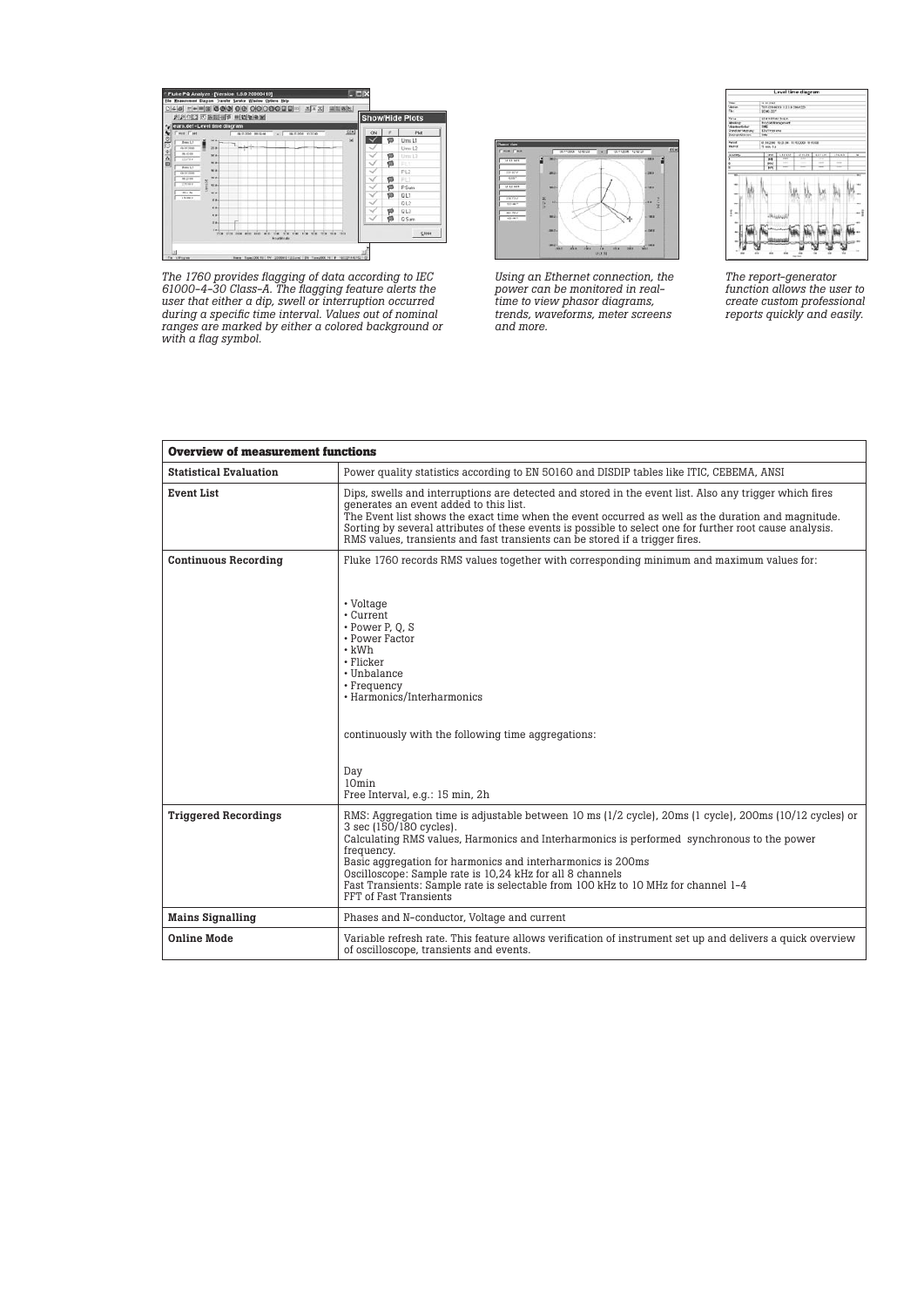

*The 1760 provides flagging of data according to IEC 61000-4-30 Class-A. The flagging feature alerts the user that either a dip, swell or interruption occurred during a specific time interval. Values out of nominal ranges are marked by either a colored background or with a flag symbol.*



*Using an Ethernet connection, the power can be monitored in realtime to view phasor diagrams, trends, waveforms, meter screens and more.*



*The report-generator function allows the user to create custom professional reports quickly and easily.*

| <b>Overview of measurement functions</b> |                                                                                                                                                                                                                                                                                                                                                                                                                                                                                          |
|------------------------------------------|------------------------------------------------------------------------------------------------------------------------------------------------------------------------------------------------------------------------------------------------------------------------------------------------------------------------------------------------------------------------------------------------------------------------------------------------------------------------------------------|
| <b>Statistical Evaluation</b>            | Power quality statistics according to EN 50160 and DISDIP tables like ITIC, CEBEMA, ANSI                                                                                                                                                                                                                                                                                                                                                                                                 |
| <b>Event List</b>                        | Dips, swells and interruptions are detected and stored in the event list. Also any trigger which fires<br>generates an event added to this list.<br>The Event list shows the exact time when the event occurred as well as the duration and magnitude.<br>Sorting by several attributes of these events is possible to select one for further root cause analysis.<br>RMS values, transients and fast transients can be stored if a trigger fires.                                       |
| <b>Continuous Recording</b>              | Fluke 1760 records RMS values together with corresponding minimum and maximum values for:<br>• Voltage<br>• Current<br>• Power P.O.S<br>• Power Factor<br>$\cdot$ kWh<br>• Flicker<br>• Unbalance<br>• Frequency<br>· Harmonics/Interharmonics<br>continuously with the following time aggregations:                                                                                                                                                                                     |
|                                          | Day<br>10 <sub>min</sub><br>Free Interval, e.g.: 15 min, 2h                                                                                                                                                                                                                                                                                                                                                                                                                              |
| <b>Triggered Recordings</b>              | RMS: Aggregation time is adjustable between 10 ms (1/2 cycle), 20ms (1 cycle), 200ms (10/12 cycles) or<br>3 sec (150/180 cycles).<br>Calculating RMS values, Harmonics and Interharmonics is performed synchronous to the power<br>frequency.<br>Basic aggregation for harmonics and interharmonics is 200ms<br>Oscilloscope: Sample rate is 10,24 kHz for all 8 channels<br>Fast Transients: Sample rate is selectable from 100 kHz to 10 MHz for channel 1-4<br>FFT of Fast Transients |
| <b>Mains Signalling</b>                  | Phases and N-conductor, Voltage and current                                                                                                                                                                                                                                                                                                                                                                                                                                              |
| <b>Online Mode</b>                       | Variable refresh rate. This feature allows verification of instrument set up and delivers a quick overview<br>of oscilloscope, transients and events.                                                                                                                                                                                                                                                                                                                                    |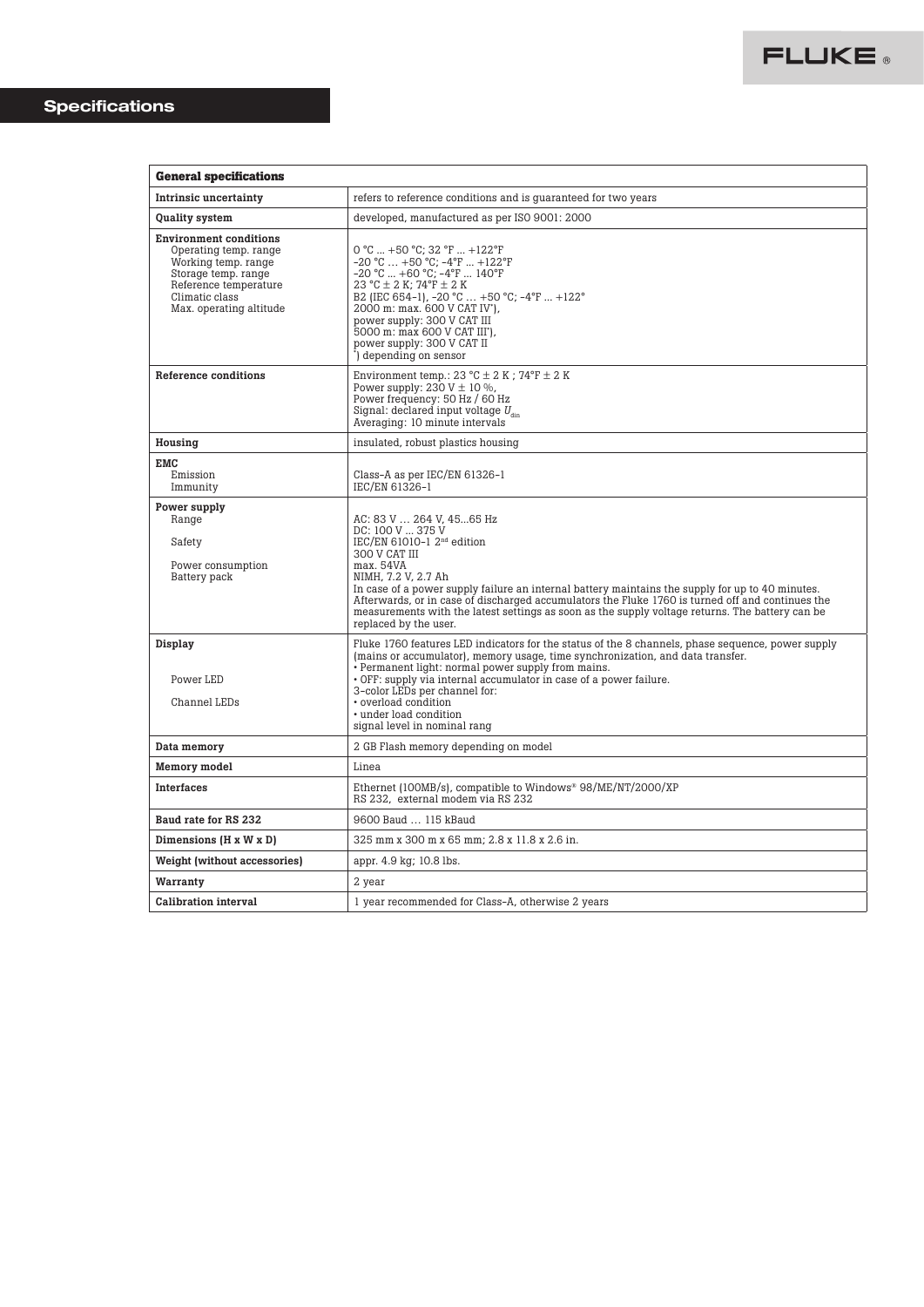| <b>General specifications</b>                                                                                                                                              |                                                                                                                                                                                                                                                                                                                                                                                                                                                                       |
|----------------------------------------------------------------------------------------------------------------------------------------------------------------------------|-----------------------------------------------------------------------------------------------------------------------------------------------------------------------------------------------------------------------------------------------------------------------------------------------------------------------------------------------------------------------------------------------------------------------------------------------------------------------|
| Intrinsic uncertainty                                                                                                                                                      | refers to reference conditions and is guaranteed for two years                                                                                                                                                                                                                                                                                                                                                                                                        |
| Quality system                                                                                                                                                             | developed, manufactured as per ISO 9001: 2000                                                                                                                                                                                                                                                                                                                                                                                                                         |
| <b>Environment conditions</b><br>Operating temp. range<br>Working temp. range<br>Storage temp. range<br>Reference temperature<br>Climatic class<br>Max. operating altitude | $0 °C  +50 °C$ ; 32 °F  +122°F<br>$-20$ °C $ +50$ °C; $-4$ °F $ +122$ °F<br>$-20$ °C $+60$ °C; $-4$ °F  140°F<br>23 °C $\pm$ 2 K; 74°F $\pm$ 2 K<br>B2 (IEC 654-1), -20 °C  +50 °C; -4 °F  +122 °<br>2000 m: max. 600 V CAT IV'),<br>power supply: 300 V CAT III<br>5000 m: max 600 V CAT III'),<br>power supply: 300 V CAT II<br>") depending on sensor                                                                                                              |
| Reference conditions                                                                                                                                                       | Environment temp.: 23 °C $\pm$ 2 K; 74°F $\pm$ 2 K<br>Power supply: $230 V \pm 10 \%$ ,<br>Power frequency: 50 Hz / 60 Hz<br>Signal: declared input voltage $U_{\text{dim}}$<br>Averaging: 10 minute intervals                                                                                                                                                                                                                                                        |
| Housing                                                                                                                                                                    | insulated, robust plastics housing                                                                                                                                                                                                                                                                                                                                                                                                                                    |
| <b>EMC</b><br>Emission<br>Immunity                                                                                                                                         | Class-A as per IEC/EN 61326-1<br>IEC/EN 61326-1                                                                                                                                                                                                                                                                                                                                                                                                                       |
| Power supply<br>Range<br>Safety<br>Power consumption<br>Battery pack                                                                                                       | AC: 83 V  264 V, 4565 Hz<br>DC: 100 V  375 V<br>IEC/EN 61010-1 $2nd$ edition<br>300 V CAT III<br>max. 54VA<br>NIMH, 7.2 V, 2.7 Ah<br>In case of a power supply failure an internal battery maintains the supply for up to 40 minutes.<br>Afterwards, or in case of discharged accumulators the Fluke 1760 is turned off and continues the<br>measurements with the latest settings as soon as the supply voltage returns. The battery can be<br>replaced by the user. |
| Display<br>Power LED<br>Channel LEDs                                                                                                                                       | Fluke 1760 features LED indicators for the status of the 8 channels, phase sequence, power supply<br>(mains or accumulator), memory usage, time synchronization, and data transfer.<br>• Permanent light: normal power supply from mains.<br>• OFF: supply via internal accumulator in case of a power failure.<br>3-color LEDs per channel for:<br>• overload condition<br>• under load condition<br>signal level in nominal rang                                    |
| Data memory                                                                                                                                                                | 2 GB Flash memory depending on model                                                                                                                                                                                                                                                                                                                                                                                                                                  |
| <b>Memory</b> model                                                                                                                                                        | Linea                                                                                                                                                                                                                                                                                                                                                                                                                                                                 |
| <b>Interfaces</b>                                                                                                                                                          | Ethernet (100MB/s), compatible to Windows® 98/ME/NT/2000/XP<br>RS 232, external modem via RS 232                                                                                                                                                                                                                                                                                                                                                                      |
| Baud rate for RS 232                                                                                                                                                       | 9600 Baud  115 kBaud                                                                                                                                                                                                                                                                                                                                                                                                                                                  |
| Dimensions (H x W x D)                                                                                                                                                     | 325 mm x 300 m x 65 mm; 2.8 x 11.8 x 2.6 in.                                                                                                                                                                                                                                                                                                                                                                                                                          |
| <b>Weight (without accessories)</b>                                                                                                                                        | appr. 4.9 kg; 10.8 lbs.                                                                                                                                                                                                                                                                                                                                                                                                                                               |
| Warranty                                                                                                                                                                   | 2 year                                                                                                                                                                                                                                                                                                                                                                                                                                                                |
| <b>Calibration interval</b>                                                                                                                                                | 1 year recommended for Class-A, otherwise 2 years                                                                                                                                                                                                                                                                                                                                                                                                                     |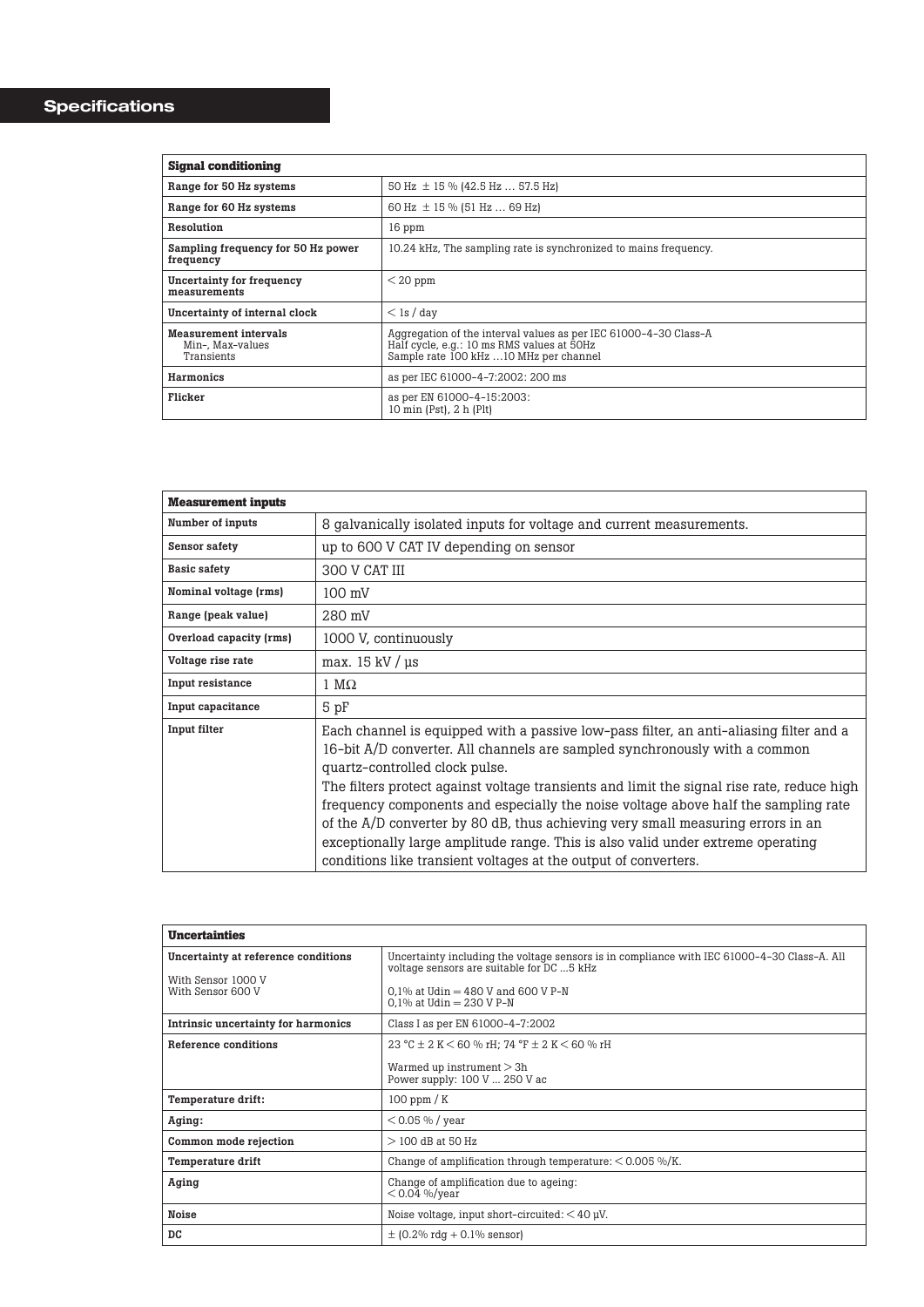| Signal conditioning                                            |                                                                                                                                                           |
|----------------------------------------------------------------|-----------------------------------------------------------------------------------------------------------------------------------------------------------|
| Range for 50 Hz systems                                        | 50 Hz $\pm$ 15 % (42.5 Hz  57.5 Hz)                                                                                                                       |
| Range for 60 Hz systems                                        | 60 Hz $\pm$ 15 % (51 Hz  69 Hz)                                                                                                                           |
| Resolution                                                     | 16 ppm                                                                                                                                                    |
| Sampling frequency for 50 Hz power<br>frequency                | 10.24 kHz. The sampling rate is synchronized to mains frequency.                                                                                          |
| Uncertainty for frequency<br>measurements                      | $<$ 20 ppm                                                                                                                                                |
| Uncertainty of internal clock                                  | $<$ 1s / day                                                                                                                                              |
| <b>Measurement intervals</b><br>Min-. Max-values<br>Transients | Aggregation of the interval values as per IEC 61000-4-30 Class-A<br>Half cycle, e.g.: 10 ms RMS values at 50Hz<br>Sample rate 100 kHz  10 MHz per channel |
| <b>Harmonics</b>                                               | as per IEC 61000-4-7:2002: 200 ms                                                                                                                         |
| Flicker                                                        | as per EN 61000-4-15:2003:<br>10 min $(Pst)$ , 2 h $(Plt)$                                                                                                |

| <b>Measurement inputs</b> |                                                                                                                                                                                                                                                                                                                                                                                                                                                                                                                                                                                                                                     |
|---------------------------|-------------------------------------------------------------------------------------------------------------------------------------------------------------------------------------------------------------------------------------------------------------------------------------------------------------------------------------------------------------------------------------------------------------------------------------------------------------------------------------------------------------------------------------------------------------------------------------------------------------------------------------|
| Number of inputs          | 8 galvanically isolated inputs for voltage and current measurements.                                                                                                                                                                                                                                                                                                                                                                                                                                                                                                                                                                |
| Sensor safety             | up to 600 V CAT IV depending on sensor                                                                                                                                                                                                                                                                                                                                                                                                                                                                                                                                                                                              |
| <b>Basic safety</b>       | 300 V CAT III                                                                                                                                                                                                                                                                                                                                                                                                                                                                                                                                                                                                                       |
| Nominal voltage (rms)     | $100 \text{ mV}$                                                                                                                                                                                                                                                                                                                                                                                                                                                                                                                                                                                                                    |
| Range (peak value)        | 280 mV                                                                                                                                                                                                                                                                                                                                                                                                                                                                                                                                                                                                                              |
| Overload capacity (rms)   | 1000 V, continuously                                                                                                                                                                                                                                                                                                                                                                                                                                                                                                                                                                                                                |
| Voltage rise rate         | max. $15 \text{ kV}$ / $\mu$ s                                                                                                                                                                                                                                                                                                                                                                                                                                                                                                                                                                                                      |
| Input resistance          | $1 \text{ M}\Omega$                                                                                                                                                                                                                                                                                                                                                                                                                                                                                                                                                                                                                 |
| Input capacitance         | 5 pF                                                                                                                                                                                                                                                                                                                                                                                                                                                                                                                                                                                                                                |
| Input filter              | Each channel is equipped with a passive low-pass filter, an anti-aliasing filter and a<br>16-bit A/D converter. All channels are sampled synchronously with a common<br>quartz-controlled clock pulse.<br>The filters protect against voltage transients and limit the signal rise rate, reduce high<br>frequency components and especially the noise voltage above half the sampling rate<br>of the A/D converter by 80 dB, thus achieving very small measuring errors in an<br>exceptionally large amplitude range. This is also valid under extreme operating<br>conditions like transient voltages at the output of converters. |

| <b>Uncertainties</b>                                                           |                                                                                                                                                                                                                 |  |  |  |  |
|--------------------------------------------------------------------------------|-----------------------------------------------------------------------------------------------------------------------------------------------------------------------------------------------------------------|--|--|--|--|
| Uncertainty at reference conditions<br>With Sensor 1000 V<br>With Sensor 600 V | Uncertainty including the voltage sensors is in compliance with IEC 61000-4-30 Class-A. All<br>voltage sensors are suitable for DC  5 kHz<br>0.1% at Udin = $480$ V and 600 V P-N<br>0.1% at Udin $= 230$ V P-N |  |  |  |  |
| Intrinsic uncertainty for harmonics                                            | Class I as per EN 61000-4-7:2002                                                                                                                                                                                |  |  |  |  |
| Reference conditions                                                           | 23 °C $\pm$ 2 K $<$ 60 % rH: 74 °F $\pm$ 2 K $<$ 60 % rH<br>Warmed up instrument $> 3h$<br>Power supply: 100 V  250 V ac                                                                                        |  |  |  |  |
| Temperature drift:                                                             | $100$ ppm $/K$                                                                                                                                                                                                  |  |  |  |  |
| Aging:                                                                         | $< 0.05 %$ / year                                                                                                                                                                                               |  |  |  |  |
| Common mode rejection                                                          | $>$ 100 dB at 50 Hz                                                                                                                                                                                             |  |  |  |  |
| Temperature drift                                                              | Change of amplification through temperature: $< 0.005\%$ /K.                                                                                                                                                    |  |  |  |  |
| Aging                                                                          | Change of amplification due to ageing:<br>$< 0.04 %$ /year                                                                                                                                                      |  |  |  |  |
| Noise                                                                          | Noise voltage, input short-circuited: $<$ 40 µV.                                                                                                                                                                |  |  |  |  |
| DC                                                                             | $\pm$ (0.2% rdg + 0.1% sensor)                                                                                                                                                                                  |  |  |  |  |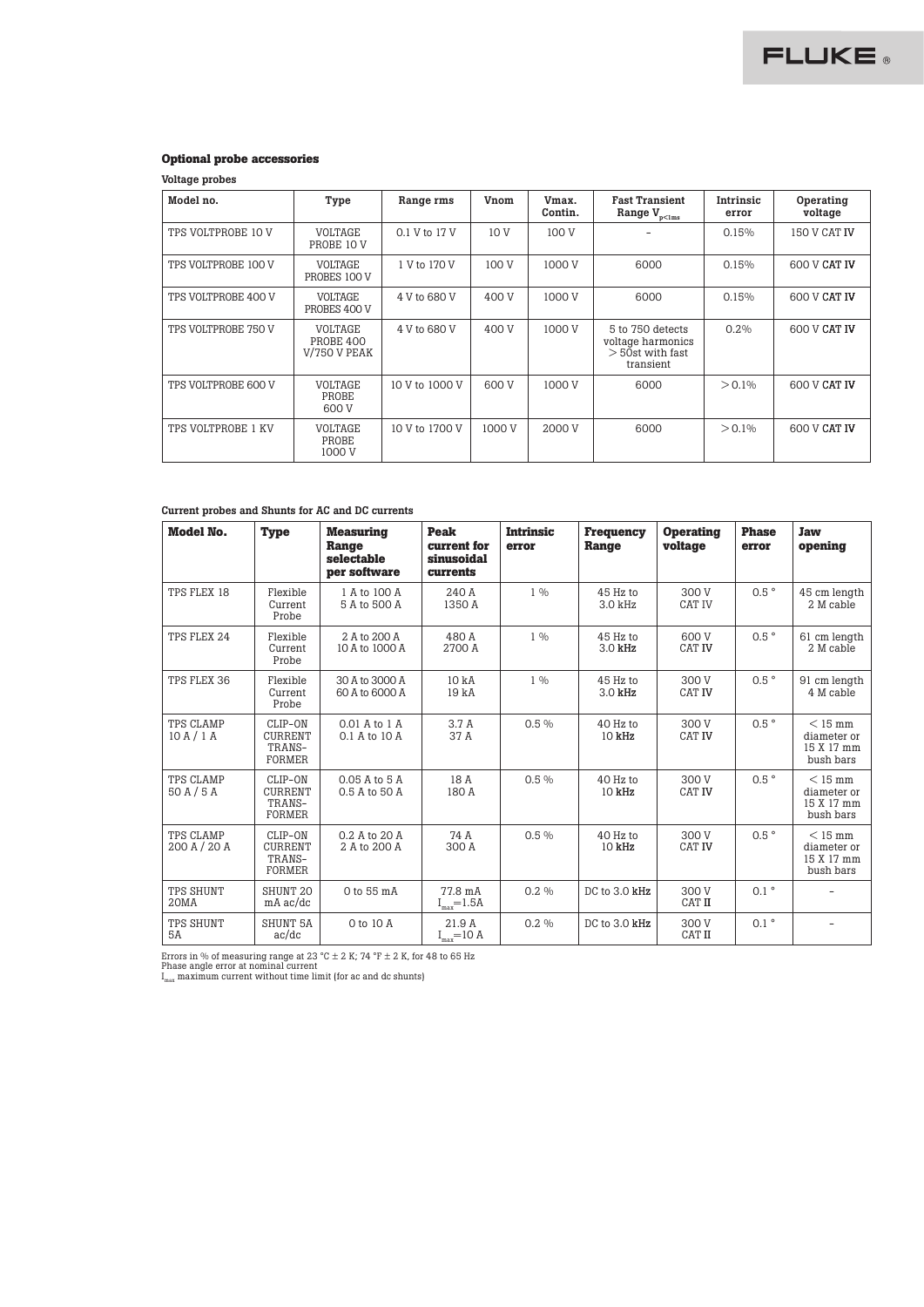# **Optional probe accessories**

Voltage probes

| Model no.                                                   | Type                              | Range rms      | Vnom            | Vmax.<br>Contin. | <b>Fast Transient</b><br>Range $V_{p<1ms}$                               | Intrinsic<br>error | Operating<br>voltage |
|-------------------------------------------------------------|-----------------------------------|----------------|-----------------|------------------|--------------------------------------------------------------------------|--------------------|----------------------|
| TPS VOLTPROBE 10 V                                          | <b>VOLTAGE</b><br>PROBE 10 V      | 0.1 V to 17 V  | 10 <sub>V</sub> | 100 V            |                                                                          | 0.15%              | 150 V CAT IV         |
| <b>VOLTAGE</b><br>TPS VOLTPROBE 100 V<br>PROBES 100 V       |                                   | 1 V to 170 V   | 100 V           | 1000 V           | 6000                                                                     | 0.15%              | 600 V CAT IV         |
| TPS VOLTPROBE 400 V                                         | <b>VOLTAGE</b><br>PROBES 400 V    | 4 V to 680 V   | 400 V           | 1000 V           | 6000                                                                     | 0.15%              | 600 V CAT IV         |
| VOLTAGE<br>TPS VOLTPROBE 750 V<br>PROBE 400<br>V/750 V PEAK |                                   | 4 V to 680 V   | 400 V           | 1000 V           | 5 to 750 detects<br>voltage harmonics<br>$>$ 50st with fast<br>transient | $0.2\%$            | 600 V CAT IV         |
| TPS VOLTPROBE 600 V                                         | <b>VOLTAGE</b><br>PROBE<br>600 V  | 10 V to 1000 V | 600 V           | 1000 V           | 6000                                                                     | $> 0.1\%$          | 600 V CAT IV         |
| <b>TPS VOLTPROBE 1 KV</b>                                   | <b>VOLTAGE</b><br>PROBE<br>1000 V | 10 V to 1700 V | 1000 V          | 2000 V           | 6000                                                                     | $> 0.1\%$          | 600 V CAT IV         |

#### Current probes and Shunts for AC and DC currents

| Model No.                 | <b>Type</b>                                          | <b>Measuring</b><br>Range<br>selectable<br>per software | Peak<br>current for<br>sinusoidal<br>currents | <b>Intrinsic</b><br>error | <b>Frequency</b><br>Range | <b>Operating</b><br>voltage | <b>Phase</b><br>error | <b>Jaw</b><br>opening                               |
|---------------------------|------------------------------------------------------|---------------------------------------------------------|-----------------------------------------------|---------------------------|---------------------------|-----------------------------|-----------------------|-----------------------------------------------------|
| TPS FLEX 18               | Flexible<br>Current<br>Probe                         | 1 A to 100 A<br>5 A to 500 A                            | 240 A<br>1350 A                               | $1 \frac{0}{0}$           | 45 Hz to<br>3.0 kHz       | 300 V<br><b>CAT IV</b>      | $0.5$ °               | 45 cm length<br>2 M cable                           |
| TPS FLEX 24               | Flexible<br>Current<br>Probe                         | 2. A to 200 A<br>10 A to 1000 A                         | 480 A<br>2700 A                               | $1 \frac{0}{0}$           | 45 Hz to<br>3.0 kHz       | 600 V<br><b>CAT IV</b>      | $0.5$ °               | 61 cm length<br>2 M cable                           |
| TPS FLEX 36               | Flexible<br>Current<br>Probe                         | 30 A to 3000 A<br>60 A to 6000 A                        | 10 <sub>kA</sub><br>19 kA                     | $1 \frac{0}{0}$           | 45 Hz to<br>3.0 kHz       | 300 V<br><b>CAT IV</b>      | $0.5$ °               | 91 cm length<br>4 M cable                           |
| TPS CLAMP<br>10A/1A       | CLIP-ON<br><b>CURRENT</b><br>TRANS-<br><b>FORMER</b> | 0.01 A to 1 A<br>0.1 A to 10 A                          | 3.7 A<br>37 A                                 | $0.5\%$                   | 40 Hz to<br>10 kHz        | 300 V<br><b>CAT IV</b>      | $0.5$ °               | $<$ 15 mm<br>diameter or<br>15 X 17 mm<br>bush bars |
| TPS CLAMP<br>50A/5A       | CLIP-ON<br><b>CURRENT</b><br>TRANS-<br><b>FORMER</b> | 0.05 A to 5 A<br>0.5 A to 50 A                          | 18 A<br>180 A                                 | $0.5\%$                   | 40 Hz to<br>10 kHz        | 300 V<br><b>CAT IV</b>      | $0.5$ °               | $<$ 15 mm<br>diameter or<br>15 X 17 mm<br>bush bars |
| TPS CLAMP<br>200 A / 20 A | CLIP-ON<br><b>CURRENT</b><br>TRANS-<br><b>FORMER</b> | 0.2 A to 20 A<br>2 A to 200 A                           | 74 A<br>300 A                                 | $0.5\%$                   | 40 Hz to<br>10 kHz        | 300 V<br><b>CAT IV</b>      | $0.5$ °               | $<$ 15 mm<br>diameter or<br>15 X 17 mm<br>bush bars |
| TPS SHUNT<br>20MA         | SHUNT <sub>20</sub><br>$mA$ ac/dc                    | 0 to 55 mA                                              | 77.8 mA<br>$\rm I_{max}\!\!=\!\!1.5A$         | $0.2\%$                   | DC to 3.0 kHz             | 300 V<br><b>CAT II</b>      | $0.1$ $^{\circ}$      |                                                     |
| TPS SHUNT<br><b>5A</b>    | <b>SHUNT 5A</b><br>ac/dc                             | 0 to 10 A                                               | 21.9 A<br>$\rm I_{max}\!\!=\!\!10$ A          | $0.2\%$                   | DC to 3.0 kHz             | 300 V<br>CAT II             | $0.1$ $^{\circ}$      |                                                     |

Errors in % of measuring range at 23 °C ± 2 K; 74 °F ± 2 K, for 48 to 65 Hz<br>Phase angle error at nominal current<br>I<sub>max</sub> maximum current without time limit (for ac and dc shunts)